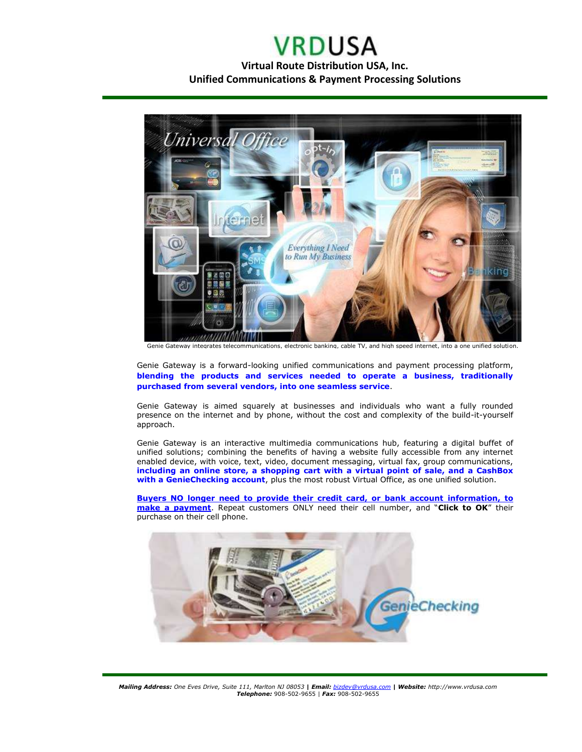### **Virtual Route Distribution USA, Inc. Unified Communications & Payment Processing Solutions**



Genie Gateway integrates telecommunications, electronic banking, cable TV, and high speed internet, into a one unified solution.

Genie Gateway is a forward-looking unified communications and payment processing platform, **blending the products and services needed to operate a business, traditionally purchased from several vendors, into one seamless service**.

Genie Gateway is aimed squarely at businesses and individuals who want a fully rounded presence on the internet and by phone, without the cost and complexity of the build-it-yourself approach.

Genie Gateway is an interactive multimedia communications hub, featuring a digital buffet of unified solutions; combining the benefits of having a website fully accessible from any internet enabled device, with voice, text, video, document messaging, virtual fax, group communications, **including an online store, a shopping cart with a virtual point of sale, and a CashBox with a GenieChecking account**, plus the most robust Virtual Office, as one unified solution.

**[Buyers NO longer need to provide their credit card, or bank account information, to](http://www.geniecashbox.com/8002598076/)  [make a payment](https://geniecashbox.com/demo/)**. Repeat customers ONLY need their cell number, and "**Click to OK**" their purchase on their cell phone.

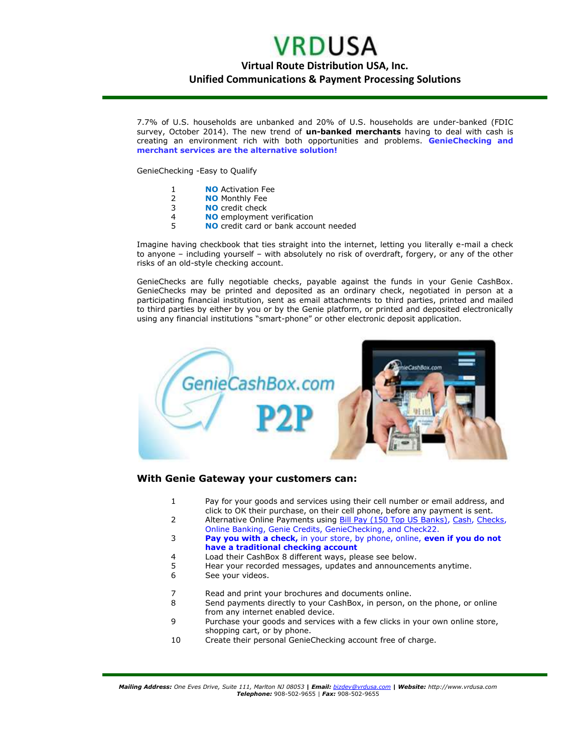### **VRDUSA Virtual Route Distribution USA, Inc. Unified Communications & Payment Processing Solutions**

7.7% of U.S. households are unbanked and 20% of U.S. households are under-banked (FDIC survey, October 2014). The new trend of **un-banked merchants** having to deal with cash is creating an environment rich with both opportunities and problems. **GenieChecking and merchant services are the alternative solution!**

GenieChecking -Easy to Qualify

- 1 **NO** Activation Fee
- 2 **NO** Monthly Fee
- 3 **NO** credit check
- 4 **NO** employment verification
- 5 **NO** credit card or bank account needed

Imagine having checkbook that ties straight into the internet, letting you literally e-mail a check to anyone – including yourself – with absolutely no risk of overdraft, forgery, or any of the other risks of an old-style checking account.

GenieChecks are fully negotiable checks, payable against the funds in your Genie CashBox. GenieChecks may be printed and deposited as an ordinary check, negotiated in person at a participating financial institution, sent as email attachments to third parties, printed and mailed to third parties by either by you or by the Genie platform, or printed and deposited electronically using any financial institutions "smart-phone" or other electronic deposit application.



#### **With Genie Gateway your customers can:**

- 1 Pay for your goods and services using their cell number or email address, and click to OK their purchase, on their cell phone, before any payment is sent.
- 2 Alternative Online Payments using [Bill Pay \(150 Top US Banks\),](http://geniecashbox.com/billpay.wav) [Cash,](http://geniecashbox.com/paycash.wav) [Checks,](https://geniecashbox.com/signup/checking.php?gc=GenieCashBoxChecking&reference_no=8002598076) Online Banking, Genie Credits, GenieChecking, and Check22.
- 3 **Pay you with a check,** in your store, by phone, online, **even if you do not have a traditional checking account**
- 4 Load their CashBox 8 different ways, please see below.
- 5 Hear your recorded messages, updates and announcements anytime.
- 6 See your videos.
- 7 Read and print your brochures and documents online.
- 8 Send payments directly to your CashBox, in person, on the phone, or online from any internet enabled device.
- 9 Purchase your goods and services with a few clicks in your own online store, shopping cart, or by phone.
- 10 Create their personal GenieChecking account free of charge.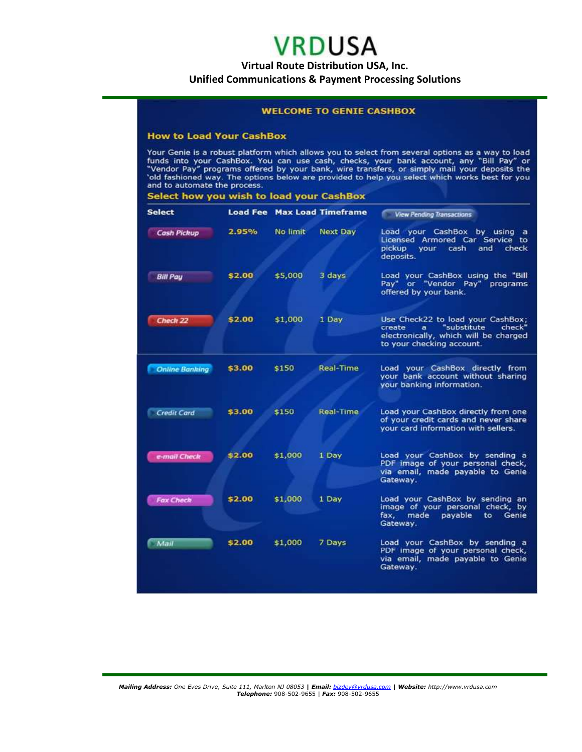**Virtual Route Distribution USA, Inc. Unified Communications & Payment Processing Solutions**

### **WELCOME TO GENIE CASHBOX**

#### **How to Load Your CashBox**

Your Genie is a robust platform which allows you to select from several options as a way to load<br>funds into your CashBox. You can use cash, checks, your bank account, any "Bill Pay" or<br>"Vendor Pay" programs offered by your and to automate the process.

#### Select how you wish to load your CashBox

|        |          |                  | <b>View Pending Transactions</b>                                                                                                                 |
|--------|----------|------------------|--------------------------------------------------------------------------------------------------------------------------------------------------|
| 2.95%  | No limit | <b>Next Day</b>  | Load your CashBox by using a<br>Licensed Armored Car Service to<br>pickup<br>vour<br>cash<br>and<br>check<br>deposits.                           |
| \$2.00 | \$5,000  | 3 days           | Load your CashBox using the "Bill"<br>Pay" or "Vendor Pay"<br>programs<br>offered by your bank.                                                  |
| \$2.00 | \$1,000  | 1 Day            | Use Check22 to load your CashBox;<br>"substitute<br>check"<br>create<br>a.<br>electronically, which will be charged<br>to your checking account. |
| \$3.00 | \$150    | <b>Real-Time</b> | Load your CashBox directly from<br>your bank account without sharing<br>your banking information.                                                |
| \$3.00 | \$150    | Real-Time        | Load your CashBox directly from one<br>of your credit cards and never share<br>vour card information with sellers.                               |
| \$2.00 | \$1,000  | 1 Day            | Load your CashBox by sending a<br>PDF image of your personal check,<br>via email, made payable to Genie<br>Gateway.                              |
| \$2.00 | \$1,000  | 1 Day            | Load your CashBox by sending an<br>image of your personal check, by<br>fax, made<br>payable to Genie<br>Gateway.                                 |
| \$2.00 | \$1,000  | 7 Days           | Load your CashBox by sending a<br>PDF image of your personal check,<br>via email, made payable to Genie<br>Gateway.                              |
|        |          | <b>Load Fee</b>  | <b>Max Load Timeframe</b>                                                                                                                        |

 *Mailing Address: One Eves Drive, Suite 111, Marlton NJ 08053* **|** *Email: [bizdev@vrdusa.com](mailto:bizdev@vrdusa.com)* **|** *Website: http://www.vrdusa.com Telephone:* 908-502-9655 | *Fax:* 908-502-9655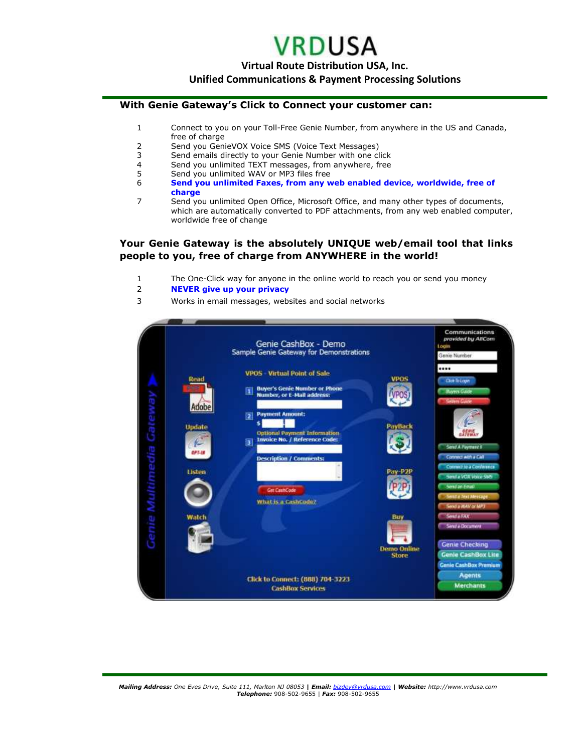**Virtual Route Distribution USA, Inc.**

### **Unified Communications & Payment Processing Solutions**

#### **With Genie Gateway's Click to Connect your customer can:**

- 1 Connect to you on your Toll-Free Genie Number, from anywhere in the US and Canada, free of charge
- 2 Send you GenieVOX Voice SMS (Voice Text Messages)<br>3 Send emails directly to your Genie Number with one cl
- 3 Send emails directly to your Genie Number with one click<br>4 Send you unlimited TFXT messages, from anywhere, free
- 4 Send you unlimited TEXT messages, from anywhere, free<br>5 Send you unlimited WAV or MP3 files free
- 5 Send you unlimited WAV or MP3 files free<br>6 **Send you unlimited Faxes, from any w**
- 6 **Send you unlimited Faxes, from any web enabled device, worldwide, free of charge**
- 7 Send you unlimited Open Office, Microsoft Office, and many other types of documents, which are automatically converted to PDF attachments, from any web enabled computer, worldwide free of change

### **Your Genie Gateway is the absolutely UNIQUE web/email tool that links people to you, free of charge from ANYWHERE in the world!**

- 1 The One-Click way for anyone in the online world to reach you or send you money
- 2 **NEVER give up your privacy**
- 3 Works in email messages, websites and social networks

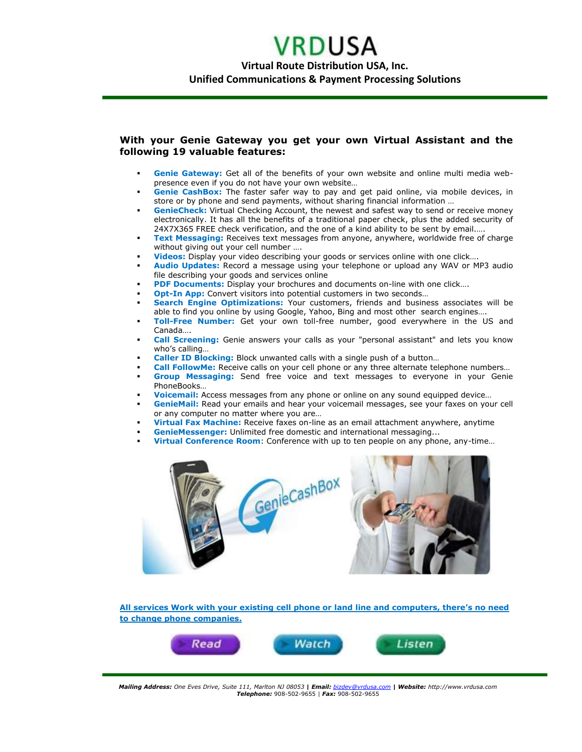**VRDUSA Virtual Route Distribution USA, Inc. Unified Communications & Payment Processing Solutions**

### **With your Genie Gateway you get your own Virtual Assistant and the following 19 valuable features:**

- **Genie Gateway:** Get all of the benefits of your own website and online multi media webpresence even if you do not have your own website…
- **Genie CashBox:** The faster safer way to pay and get paid online, via mobile devices, in store or by phone and send payments, without sharing financial information …
- **GenieCheck:** Virtual Checking Account, the newest and safest way to send or receive money electronically. It has all the benefits of a traditional paper check, plus the added security of 24X7X365 FREE check verification, and the one of a kind ability to be sent by email.….
- **Text Messaging:** Receives text messages from anyone, anywhere, worldwide free of charge without giving out your cell number ….
- **Videos:** Display your video describing your goods or services online with one click….
- **Audio Updates:** Record a message using your telephone or upload any WAV or MP3 audio file describing your goods and services online
- **PDF Documents:** Display your brochures and documents on-line with one click….
- **Opt-In App:** Convert visitors into potential customers in two seconds...
- **Search Engine Optimizations:** Your customers, friends and business associates will be able to find you online by using Google, Yahoo, Bing and most other search engines….
- **Toll-Free Number:** Get your own toll-free number, good everywhere in the US and Canada….
- **Call Screening:** Genie answers your calls as your "personal assistant" and lets you know who's calling…
- **Caller ID Blocking:** Block unwanted calls with a single push of a button…
- **Call FollowMe:** Receive calls on your cell phone or any three alternate telephone numbers…
- **Group Messaging:** Send free voice and text messages to everyone in your Genie PhoneBooks…
- **Voicemail:** Access messages from any phone or online on any sound equipped device…
- **GenieMail:** Read your emails and hear your voicemail messages, see your faxes on your cell or any computer no matter where you are…
- **Virtual Fax Machine:** Receive faxes on-line as an email attachment anywhere, anytime
- **GenieMessenger:** Unlimited free domestic and international messaging...
- **Virtual Conference Room**: Conference with up to ten people on any phone, any-time…



**All services Work with your existing cell phone or land line and computers, there's no need to change phone companies.**



 *Mailing Address: One Eves Drive, Suite 111, Marlton NJ 08053* **|** *Email: [bizdev@vrdusa.com](mailto:bizdev@vrdusa.com)* **|** *Website: http://www.vrdusa.com Telephone:* 908-502-9655 | *Fax:* 908-502-9655